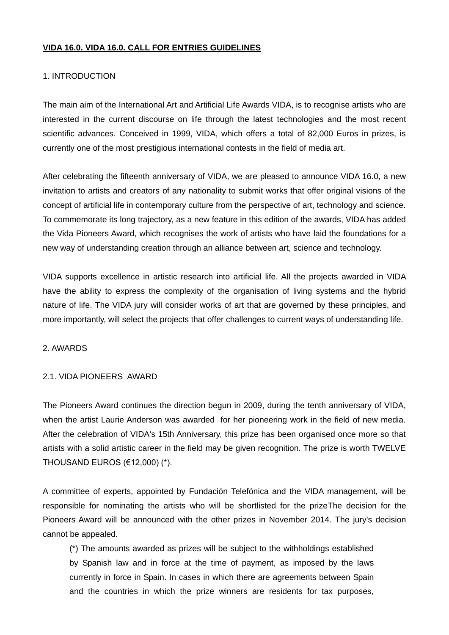### **VIDA 16.0. VIDA 16.0. CALL FOR ENTRIES GUIDELINES**

# 1. INTRODUCTION

The main aim of the International Art and Artificial Life Awards VIDA, is to recognise artists who are interested in the current discourse on life through the latest technologies and the most recent scientific advances. Conceived in 1999, VIDA, which offers a total of 82,000 Euros in prizes, is currently one of the most prestigious international contests in the field of media art.

After celebrating the fifteenth anniversary of VIDA, we are pleased to announce VIDA 16.0, a new invitation to artists and creators of any nationality to submit works that offer original visions of the concept of artificial life in contemporary culture from the perspective of art, technology and science. To commemorate its long trajectory, as a new feature in this edition of the awards, VIDA has added the Vida Pioneers Award, which recognises the work of artists who have laid the foundations for a new way of understanding creation through an alliance between art, science and technology.

VIDA supports excellence in artistic research into artificial life. All the projects awarded in VIDA have the ability to express the complexity of the organisation of living systems and the hybrid nature of life. The VIDA jury will consider works of art that are governed by these principles, and more importantly, will select the projects that offer challenges to current ways of understanding life.

### 2. AWARDS

### 2.1. VIDA PIONEERS AWARD

The Pioneers Award continues the direction begun in 2009, during the tenth anniversary of VIDA, when the artist Laurie Anderson was awarded for her pioneering work in the field of new media. After the celebration of VIDA's 15th Anniversary, this prize has been organised once more so that artists with a solid artistic career in the field may be given recognition. The prize is worth TWELVE THOUSAND EUROS (€12,000) (\*).

A committee of experts, appointed by Fundación Telefónica and the VIDA management, will be responsible for nominating the artists who will be shortlisted for the prizeThe decision for the Pioneers Award will be announced with the other prizes in November 2014. The jury's decision cannot be appealed.

(\*) The amounts awarded as prizes will be subject to the withholdings established by Spanish law and in force at the time of payment, as imposed by the laws currently in force in Spain. In cases in which there are agreements between Spain and the countries in which the prize winners are residents for tax purposes,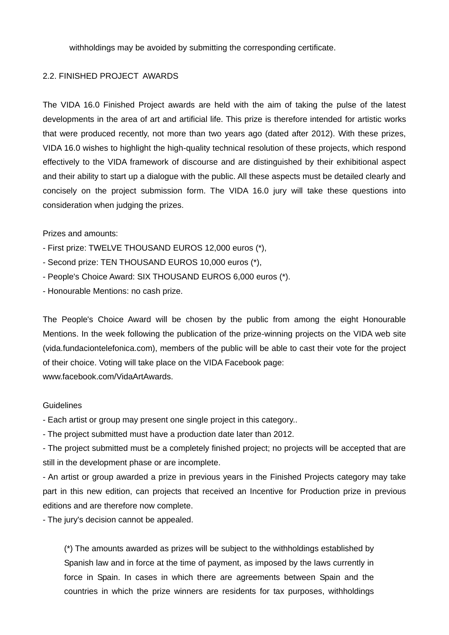withholdings may be avoided by submitting the corresponding certificate.

### 2.2. FINISHED PROJECT AWARDS

The VIDA 16.0 Finished Project awards are held with the aim of taking the pulse of the latest developments in the area of art and artificial life. This prize is therefore intended for artistic works that were produced recently, not more than two years ago (dated after 2012). With these prizes, VIDA 16.0 wishes to highlight the high-quality technical resolution of these projects, which respond effectively to the VIDA framework of discourse and are distinguished by their exhibitional aspect and their ability to start up a dialogue with the public. All these aspects must be detailed clearly and concisely on the project submission form. The VIDA 16.0 jury will take these questions into consideration when judging the prizes.

### Prizes and amounts:

- First prize: TWELVE THOUSAND EUROS 12,000 euros (\*),
- Second prize: TEN THOUSAND EUROS 10,000 euros (\*),
- People's Choice Award: SIX THOUSAND EUROS 6,000 euros (\*).
- Honourable Mentions: no cash prize.

The People's Choice Award will be chosen by the public from among the eight Honourable Mentions. In the week following the publication of the prize-winning projects on the VIDA web site (vida.fundaciontelefonica.com), members of the public will be able to cast their vote for the project of their choice. Voting will take place on the VIDA Facebook page: www.facebook.com/VidaArtAwards.

#### **Guidelines**

- Each artist or group may present one single project in this category..

- The project submitted must have a production date later than 2012.

- The project submitted must be a completely finished project; no projects will be accepted that are still in the development phase or are incomplete.

- An artist or group awarded a prize in previous years in the Finished Projects category may take part in this new edition, can projects that received an Incentive for Production prize in previous editions and are therefore now complete.

- The jury's decision cannot be appealed.

(\*) The amounts awarded as prizes will be subject to the withholdings established by Spanish law and in force at the time of payment, as imposed by the laws currently in force in Spain. In cases in which there are agreements between Spain and the countries in which the prize winners are residents for tax purposes, withholdings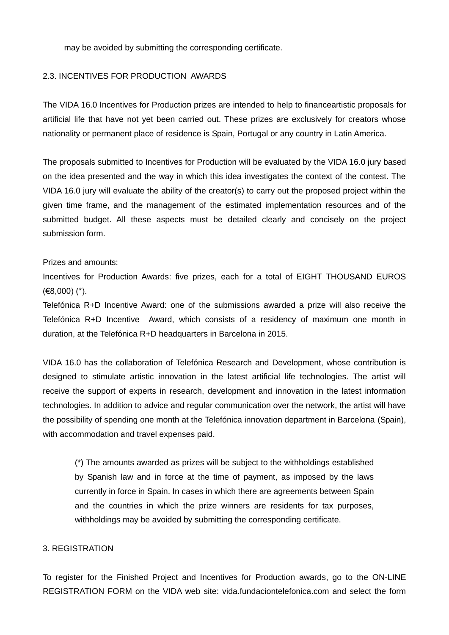may be avoided by submitting the corresponding certificate.

### 2.3. INCENTIVES FOR PRODUCTION AWARDS

The VIDA 16.0 Incentives for Production prizes are intended to help to financeartistic proposals for artificial life that have not yet been carried out. These prizes are exclusively for creators whose nationality or permanent place of residence is Spain, Portugal or any country in Latin America.

The proposals submitted to Incentives for Production will be evaluated by the VIDA 16.0 jury based on the idea presented and the way in which this idea investigates the context of the contest. The VIDA 16.0 jury will evaluate the ability of the creator(s) to carry out the proposed project within the given time frame, and the management of the estimated implementation resources and of the submitted budget. All these aspects must be detailed clearly and concisely on the project submission form.

### Prizes and amounts:

Incentives for Production Awards: five prizes, each for a total of EIGHT THOUSAND EUROS (€8,000) (\*).

Telefónica R+D Incentive Award: one of the submissions awarded a prize will also receive the Telefónica R+D Incentive Award, which consists of a residency of maximum one month in duration, at the Telefónica R+D headquarters in Barcelona in 2015.

VIDA 16.0 has the collaboration of Telefónica Research and Development, whose contribution is designed to stimulate artistic innovation in the latest artificial life technologies. The artist will receive the support of experts in research, development and innovation in the latest information technologies. In addition to advice and regular communication over the network, the artist will have the possibility of spending one month at the Telefónica innovation department in Barcelona (Spain), with accommodation and travel expenses paid.

(\*) The amounts awarded as prizes will be subject to the withholdings established by Spanish law and in force at the time of payment, as imposed by the laws currently in force in Spain. In cases in which there are agreements between Spain and the countries in which the prize winners are residents for tax purposes, withholdings may be avoided by submitting the corresponding certificate.

### 3. REGISTRATION

To register for the Finished Project and Incentives for Production awards, go to the ON-LINE REGISTRATION FORM on the VIDA web site: vida.fundaciontelefonica.com and select the form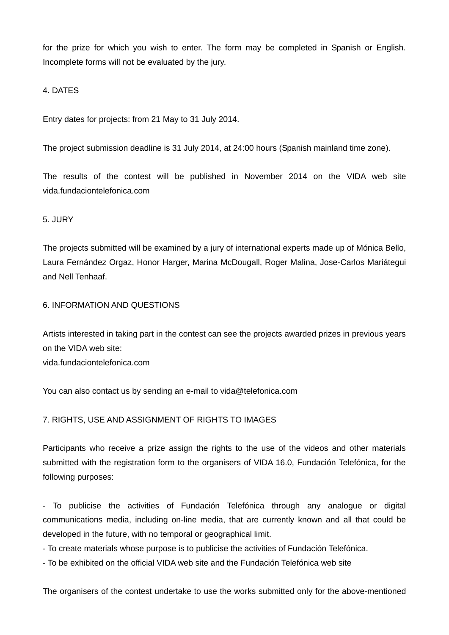for the prize for which you wish to enter. The form may be completed in Spanish or English. Incomplete forms will not be evaluated by the jury.

4. DATES

Entry dates for projects: from 21 May to 31 July 2014.

The project submission deadline is 31 July 2014, at 24:00 hours (Spanish mainland time zone).

The results of the contest will be published in November 2014 on the VIDA web site vida.fundaciontelefonica.com

# 5. JURY

The projects submitted will be examined by a jury of international experts made up of Mónica Bello, Laura Fernández Orgaz, Honor Harger, Marina McDougall, Roger Malina, Jose-Carlos Mariátegui and Nell Tenhaaf.

# 6. INFORMATION AND QUESTIONS

Artists interested in taking part in the contest can see the projects awarded prizes in previous years on the VIDA web site: vida.fundaciontelefonica.com

You can also contact us by sending an e-mail to vida@telefonica.com

# 7. RIGHTS, USE AND ASSIGNMENT OF RIGHTS TO IMAGES

Participants who receive a prize assign the rights to the use of the videos and other materials submitted with the registration form to the organisers of VIDA 16.0, Fundación Telefónica, for the following purposes:

- To publicise the activities of Fundación Telefónica through any analogue or digital communications media, including on-line media, that are currently known and all that could be developed in the future, with no temporal or geographical limit.

- To create materials whose purpose is to publicise the activities of Fundación Telefónica.

- To be exhibited on the official VIDA web site and the Fundación Telefónica web site

The organisers of the contest undertake to use the works submitted only for the above-mentioned